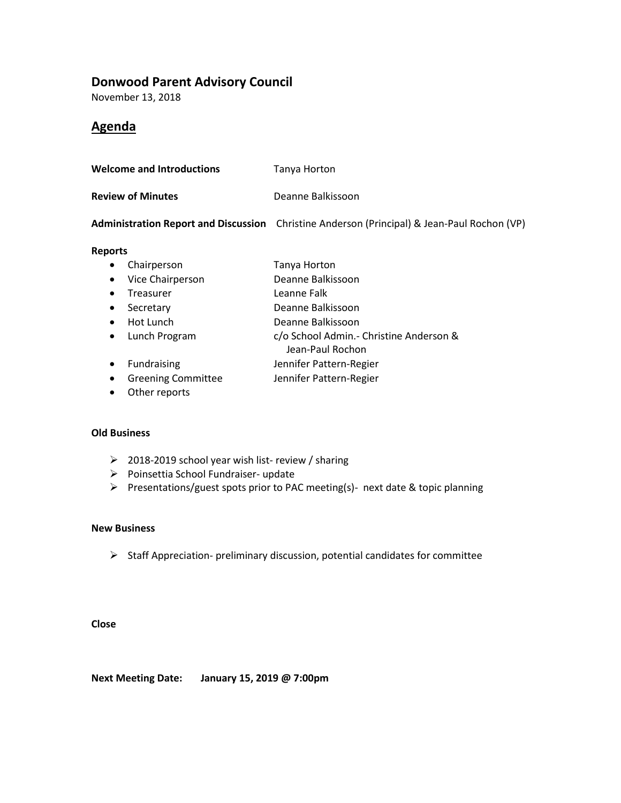## **Donwood Parent Advisory Council**

November 13, 2018

## **Agenda**

| <b>Welcome and Introductions</b> | Tanya Horton      |
|----------------------------------|-------------------|
| <b>Review of Minutes</b>         | Deanne Balkissoon |

**Administration Report and Discussion** Christine Anderson (Principal) & Jean-Paul Rochon (VP)

#### **Reports**

- Chairperson Tanya Horton
- Vice Chairperson Deanne Balkissoon
- Treasurer Leanne Falk
- Secretary Deanne Balkissoon
- Hot Lunch Deanne Balkissoon
- Lunch Program c/o School Admin.- Christine Anderson &
- Jean-Paul Rochon
- Fundraising **Jennifer Pattern-Regier**
- Greening Committee Jennifer Pattern-Regier
- Other reports

#### **Old Business**

- ➢ 2018-2019 school year wish list- review / sharing
- ➢ Poinsettia School Fundraiser- update
- ➢ Presentations/guest spots prior to PAC meeting(s)- next date & topic planning

### **New Business**

➢ Staff Appreciation- preliminary discussion, potential candidates for committee

**Close**

**Next Meeting Date: January 15, 2019 @ 7:00pm**